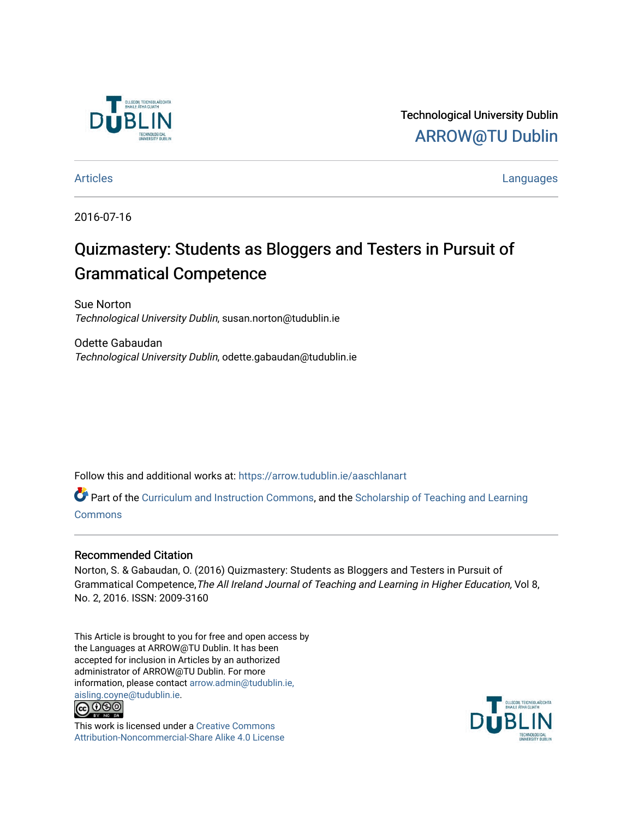

Technological University Dublin [ARROW@TU Dublin](https://arrow.tudublin.ie/) 

[Articles](https://arrow.tudublin.ie/aaschlanart) **Languages** 

2016-07-16

# Quizmastery: Students as Bloggers and Testers in Pursuit of Grammatical Competence

Sue Norton Technological University Dublin, susan.norton@tudublin.ie

Odette Gabaudan Technological University Dublin, odette.gabaudan@tudublin.ie

Follow this and additional works at: [https://arrow.tudublin.ie/aaschlanart](https://arrow.tudublin.ie/aaschlanart?utm_source=arrow.tudublin.ie%2Faaschlanart%2F25&utm_medium=PDF&utm_campaign=PDFCoverPages) 

Part of the [Curriculum and Instruction Commons,](http://network.bepress.com/hgg/discipline/786?utm_source=arrow.tudublin.ie%2Faaschlanart%2F25&utm_medium=PDF&utm_campaign=PDFCoverPages) and the Scholarship of Teaching and Learning **[Commons](http://network.bepress.com/hgg/discipline/1328?utm_source=arrow.tudublin.ie%2Faaschlanart%2F25&utm_medium=PDF&utm_campaign=PDFCoverPages)** 

#### Recommended Citation

Norton, S. & Gabaudan, O. (2016) Quizmastery: Students as Bloggers and Testers in Pursuit of Grammatical Competence,The All Ireland Journal of Teaching and Learning in Higher Education, Vol 8, No. 2, 2016. ISSN: 2009-3160

This Article is brought to you for free and open access by the Languages at ARROW@TU Dublin. It has been accepted for inclusion in Articles by an authorized administrator of ARROW@TU Dublin. For more information, please contact [arrow.admin@tudublin.ie,](mailto:arrow.admin@tudublin.ie,%20aisling.coyne@tudublin.ie)  [aisling.coyne@tudublin.ie.](mailto:arrow.admin@tudublin.ie,%20aisling.coyne@tudublin.ie)<br>© 090



This work is licensed under a [Creative Commons](http://creativecommons.org/licenses/by-nc-sa/4.0/) [Attribution-Noncommercial-Share Alike 4.0 License](http://creativecommons.org/licenses/by-nc-sa/4.0/)

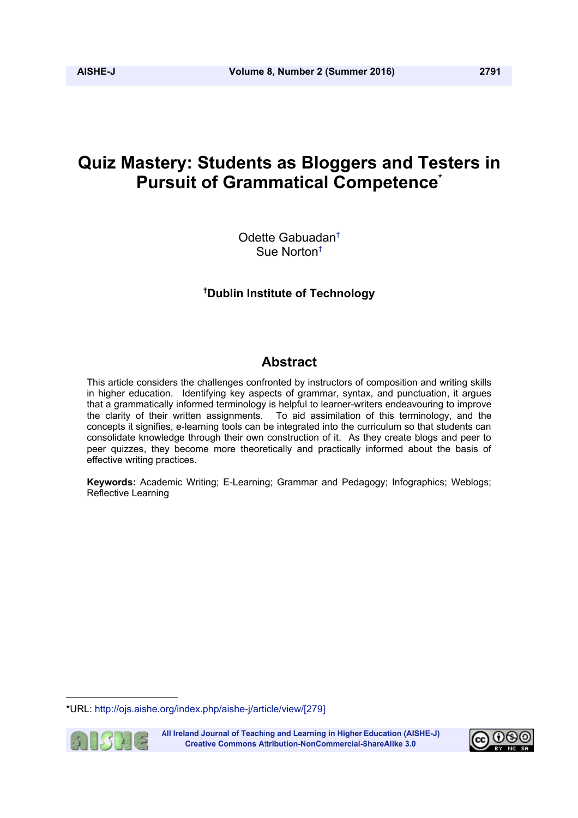# **Quiz Mastery: Students as Bloggers and Testers in Pursuit of Grammatical Competence\***

Odette Gabuadan† Sue Norton†

### **† Dublin Institute of Technology**

## **Abstract**

This article considers the challenges confronted by instructors of composition and writing skills in higher education. Identifying key aspects of grammar, syntax, and punctuation, it argues that a grammatically informed terminology is helpful to learner-writers endeavouring to improve the clarity of their written assignments. To aid assimilation of this terminology, and the concepts it signifies, e-learning tools can be integrated into the curriculum so that students can consolidate knowledge through their own construction of it. As they create blogs and peer to peer quizzes, they become more theoretically and practically informed about the basis of effective writing practices.

**Keywords:** Academic Writing; E-Learning; Grammar and Pedagogy; Infographics; Weblogs; Reflective Learning

<sup>\*</sup>URL: http://ojs.aishe.org/index.php/aishe-j/article/view/[279]



All Ireland Journal of Teaching and Learning in Higher Education (AISHE-J) **Creative Commons Attribution-NonCommercial-ShareAlike 3.0** 

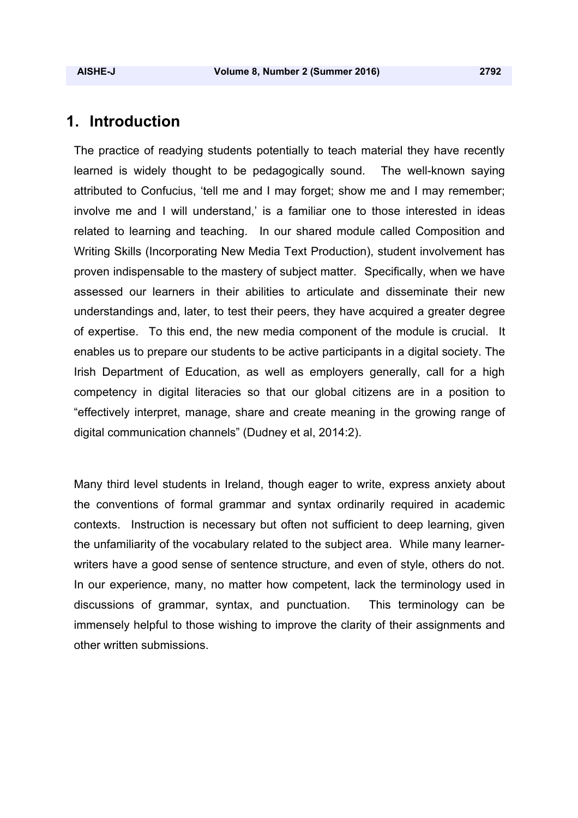# **1. Introduction**

The practice of readying students potentially to teach material they have recently learned is widely thought to be pedagogically sound. The well-known saying attributed to Confucius, 'tell me and I may forget; show me and I may remember; involve me and I will understand,' is a familiar one to those interested in ideas related to learning and teaching. In our shared module called Composition and Writing Skills (Incorporating New Media Text Production), student involvement has proven indispensable to the mastery of subject matter. Specifically, when we have assessed our learners in their abilities to articulate and disseminate their new understandings and, later, to test their peers, they have acquired a greater degree of expertise. To this end, the new media component of the module is crucial. It enables us to prepare our students to be active participants in a digital society. The Irish Department of Education, as well as employers generally, call for a high competency in digital literacies so that our global citizens are in a position to "effectively interpret, manage, share and create meaning in the growing range of digital communication channels" (Dudney et al, 2014:2).

Many third level students in Ireland, though eager to write, express anxiety about the conventions of formal grammar and syntax ordinarily required in academic contexts. Instruction is necessary but often not sufficient to deep learning, given the unfamiliarity of the vocabulary related to the subject area. While many learnerwriters have a good sense of sentence structure, and even of style, others do not. In our experience, many, no matter how competent, lack the terminology used in discussions of grammar, syntax, and punctuation. This terminology can be immensely helpful to those wishing to improve the clarity of their assignments and other written submissions.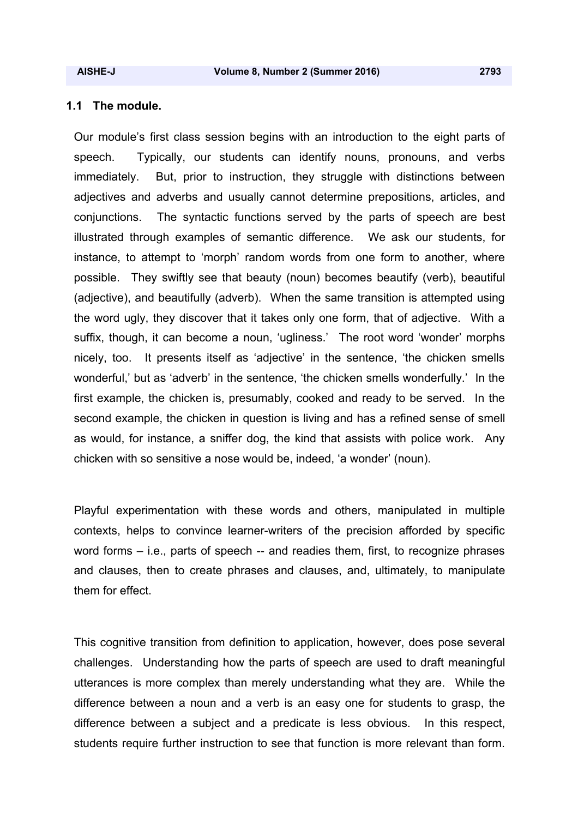#### **1.1 The module.**

Our module's first class session begins with an introduction to the eight parts of speech. Typically, our students can identify nouns, pronouns, and verbs immediately. But, prior to instruction, they struggle with distinctions between adjectives and adverbs and usually cannot determine prepositions, articles, and conjunctions. The syntactic functions served by the parts of speech are best illustrated through examples of semantic difference. We ask our students, for instance, to attempt to 'morph' random words from one form to another, where possible. They swiftly see that beauty (noun) becomes beautify (verb), beautiful (adjective), and beautifully (adverb). When the same transition is attempted using the word ugly, they discover that it takes only one form, that of adjective. With a suffix, though, it can become a noun, 'ugliness.' The root word 'wonder' morphs nicely, too. It presents itself as 'adjective' in the sentence, 'the chicken smells wonderful,' but as 'adverb' in the sentence, 'the chicken smells wonderfully.' In the first example, the chicken is, presumably, cooked and ready to be served. In the second example, the chicken in question is living and has a refined sense of smell as would, for instance, a sniffer dog, the kind that assists with police work. Any chicken with so sensitive a nose would be, indeed, 'a wonder' (noun).

Playful experimentation with these words and others, manipulated in multiple contexts, helps to convince learner-writers of the precision afforded by specific word forms – i.e., parts of speech -- and readies them, first, to recognize phrases and clauses, then to create phrases and clauses, and, ultimately, to manipulate them for effect.

This cognitive transition from definition to application, however, does pose several challenges. Understanding how the parts of speech are used to draft meaningful utterances is more complex than merely understanding what they are. While the difference between a noun and a verb is an easy one for students to grasp, the difference between a subject and a predicate is less obvious. In this respect, students require further instruction to see that function is more relevant than form.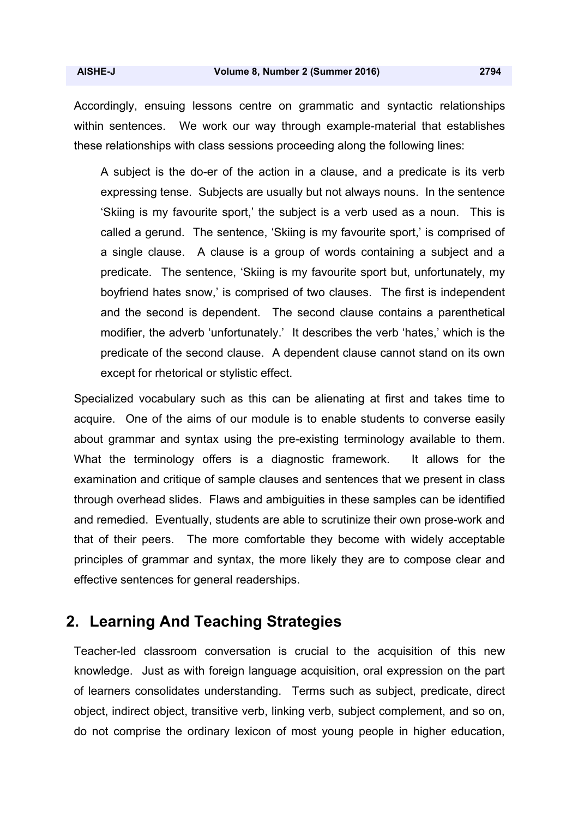Accordingly, ensuing lessons centre on grammatic and syntactic relationships within sentences. We work our way through example-material that establishes these relationships with class sessions proceeding along the following lines:

A subject is the do-er of the action in a clause, and a predicate is its verb expressing tense. Subjects are usually but not always nouns. In the sentence 'Skiing is my favourite sport,' the subject is a verb used as a noun. This is called a gerund. The sentence, 'Skiing is my favourite sport,' is comprised of a single clause. A clause is a group of words containing a subject and a predicate. The sentence, 'Skiing is my favourite sport but, unfortunately, my boyfriend hates snow,' is comprised of two clauses. The first is independent and the second is dependent. The second clause contains a parenthetical modifier, the adverb 'unfortunately.' It describes the verb 'hates,' which is the predicate of the second clause. A dependent clause cannot stand on its own except for rhetorical or stylistic effect.

Specialized vocabulary such as this can be alienating at first and takes time to acquire. One of the aims of our module is to enable students to converse easily about grammar and syntax using the pre-existing terminology available to them. What the terminology offers is a diagnostic framework. It allows for the examination and critique of sample clauses and sentences that we present in class through overhead slides. Flaws and ambiguities in these samples can be identified and remedied. Eventually, students are able to scrutinize their own prose-work and that of their peers. The more comfortable they become with widely acceptable principles of grammar and syntax, the more likely they are to compose clear and effective sentences for general readerships.

## **2. Learning And Teaching Strategies**

Teacher-led classroom conversation is crucial to the acquisition of this new knowledge. Just as with foreign language acquisition, oral expression on the part of learners consolidates understanding. Terms such as subject, predicate, direct object, indirect object, transitive verb, linking verb, subject complement, and so on, do not comprise the ordinary lexicon of most young people in higher education,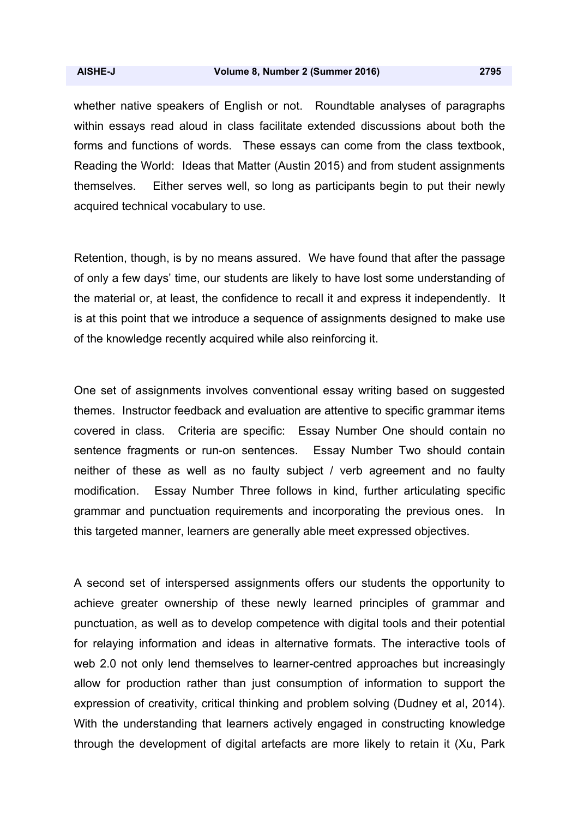whether native speakers of English or not. Roundtable analyses of paragraphs within essays read aloud in class facilitate extended discussions about both the forms and functions of words. These essays can come from the class textbook, Reading the World: Ideas that Matter (Austin 2015) and from student assignments themselves. Either serves well, so long as participants begin to put their newly acquired technical vocabulary to use.

Retention, though, is by no means assured. We have found that after the passage of only a few days' time, our students are likely to have lost some understanding of the material or, at least, the confidence to recall it and express it independently. It is at this point that we introduce a sequence of assignments designed to make use of the knowledge recently acquired while also reinforcing it.

One set of assignments involves conventional essay writing based on suggested themes. Instructor feedback and evaluation are attentive to specific grammar items covered in class. Criteria are specific: Essay Number One should contain no sentence fragments or run-on sentences. Essay Number Two should contain neither of these as well as no faulty subject / verb agreement and no faulty modification. Essay Number Three follows in kind, further articulating specific grammar and punctuation requirements and incorporating the previous ones. In this targeted manner, learners are generally able meet expressed objectives.

A second set of interspersed assignments offers our students the opportunity to achieve greater ownership of these newly learned principles of grammar and punctuation, as well as to develop competence with digital tools and their potential for relaying information and ideas in alternative formats. The interactive tools of web 2.0 not only lend themselves to learner-centred approaches but increasingly allow for production rather than just consumption of information to support the expression of creativity, critical thinking and problem solving (Dudney et al, 2014). With the understanding that learners actively engaged in constructing knowledge through the development of digital artefacts are more likely to retain it (Xu, Park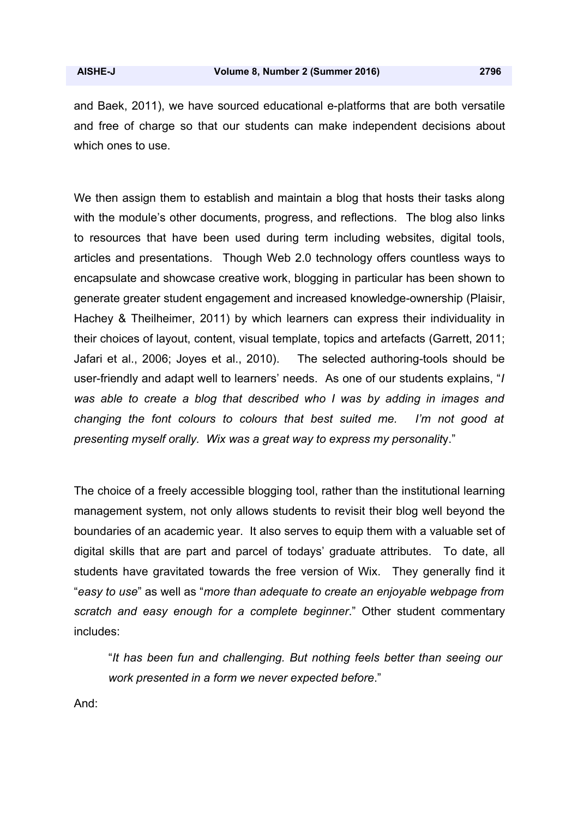and Baek, 2011), we have sourced educational e-platforms that are both versatile and free of charge so that our students can make independent decisions about which ones to use.

We then assign them to establish and maintain a blog that hosts their tasks along with the module's other documents, progress, and reflections. The blog also links to resources that have been used during term including websites, digital tools, articles and presentations. Though Web 2.0 technology offers countless ways to encapsulate and showcase creative work, blogging in particular has been shown to generate greater student engagement and increased knowledge-ownership (Plaisir, Hachey & Theilheimer, 2011) by which learners can express their individuality in their choices of layout, content, visual template, topics and artefacts (Garrett, 2011; Jafari et al., 2006; Joyes et al., 2010). The selected authoring-tools should be user-friendly and adapt well to learners' needs. As one of our students explains, "*I was able to create a blog that described who I was by adding in images and changing the font colours to colours that best suited me. I'm not good at presenting myself orally. Wix was a great way to express my personalit*y."

The choice of a freely accessible blogging tool, rather than the institutional learning management system, not only allows students to revisit their blog well beyond the boundaries of an academic year. It also serves to equip them with a valuable set of digital skills that are part and parcel of todays' graduate attributes. To date, all students have gravitated towards the free version of Wix. They generally find it "*easy to use*" as well as "*more than adequate to create an enjoyable webpage from scratch and easy enough for a complete beginner*." Other student commentary includes:

"*It has been fun and challenging. But nothing feels better than seeing our work presented in a form we never expected before*."

And: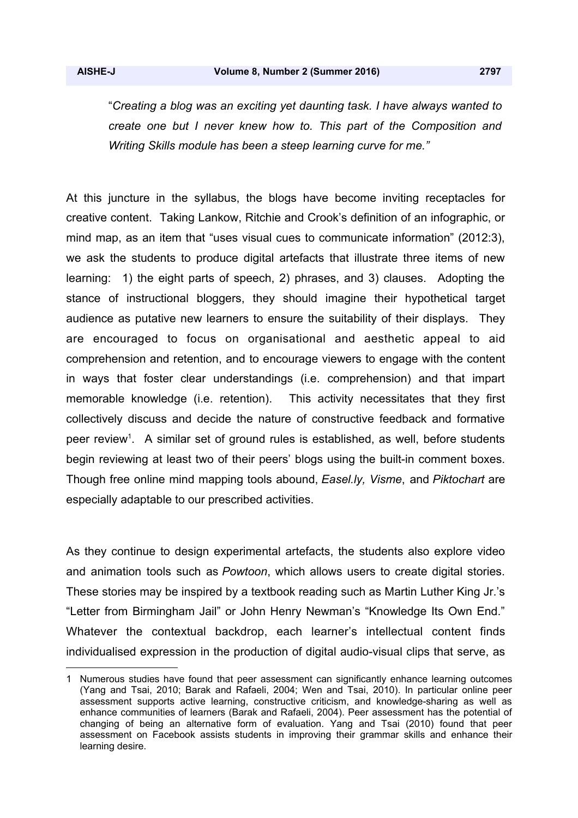"*Creating a blog was an exciting yet daunting task. I have always wanted to create one but I never knew how to. This part of the Composition and Writing Skills module has been a steep learning curve for me."* 

At this juncture in the syllabus, the blogs have become inviting receptacles for creative content. Taking Lankow, Ritchie and Crook's definition of an infographic, or mind map, as an item that "uses visual cues to communicate information" (2012:3), we ask the students to produce digital artefacts that illustrate three items of new learning: 1) the eight parts of speech, 2) phrases, and 3) clauses. Adopting the stance of instructional bloggers, they should imagine their hypothetical target audience as putative new learners to ensure the suitability of their displays. They are encouraged to focus on organisational and aesthetic appeal to aid comprehension and retention, and to encourage viewers to engage with the content in ways that foster clear understandings (i.e. comprehension) and that impart memorable knowledge (i.e. retention). This activity necessitates that they first collectively discuss and decide the nature of constructive feedback and formative peer review<sup>1</sup>. A similar set of ground rules is established, as well, before students begin reviewing at least two of their peers' blogs using the built-in comment boxes. Though free online mind mapping tools abound, *Easel.ly, Visme*, and *Piktochart* are especially adaptable to our prescribed activities.

As they continue to design experimental artefacts, the students also explore video and animation tools such as *Powtoon*, which allows users to create digital stories. These stories may be inspired by a textbook reading such as Martin Luther King Jr.'s "Letter from Birmingham Jail" or John Henry Newman's "Knowledge Its Own End." Whatever the contextual backdrop, each learner's intellectual content finds individualised expression in the production of digital audio-visual clips that serve, as

<sup>1</sup> Numerous studies have found that peer assessment can significantly enhance learning outcomes (Yang and Tsai, 2010; Barak and Rafaeli, 2004; Wen and Tsai, 2010). In particular online peer assessment supports active learning, constructive criticism, and knowledge-sharing as well as enhance communities of learners (Barak and Rafaeli, 2004). Peer assessment has the potential of changing of being an alternative form of evaluation. Yang and Tsai (2010) found that peer assessment on Facebook assists students in improving their grammar skills and enhance their learning desire.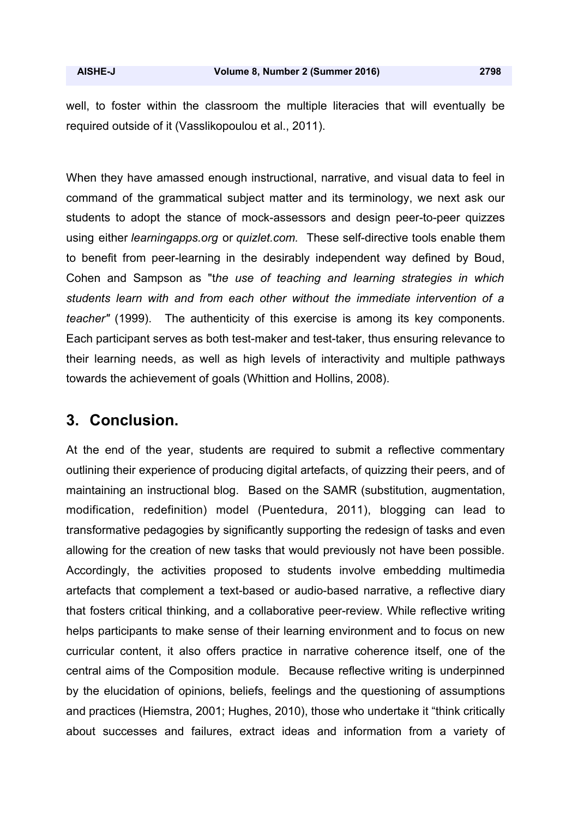well, to foster within the classroom the multiple literacies that will eventually be required outside of it (Vasslikopoulou et al., 2011).

When they have amassed enough instructional, narrative, and visual data to feel in command of the grammatical subject matter and its terminology, we next ask our students to adopt the stance of mock-assessors and design peer-to-peer quizzes using either *learningapps.org* or *quizlet.com.* These self-directive tools enable them to benefit from peer-learning in the desirably independent way defined by Boud, Cohen and Sampson as "t*he use of teaching and learning strategies in which students learn with and from each other without the immediate intervention of a teacher"* (1999). The authenticity of this exercise is among its key components. Each participant serves as both test-maker and test-taker, thus ensuring relevance to their learning needs, as well as high levels of interactivity and multiple pathways towards the achievement of goals (Whittion and Hollins, 2008).

# **3. Conclusion.**

At the end of the year, students are required to submit a reflective commentary outlining their experience of producing digital artefacts, of quizzing their peers, and of maintaining an instructional blog. Based on the SAMR (substitution, augmentation, modification, redefinition) model (Puentedura, 2011), blogging can lead to transformative pedagogies by significantly supporting the redesign of tasks and even allowing for the creation of new tasks that would previously not have been possible. Accordingly, the activities proposed to students involve embedding multimedia artefacts that complement a text-based or audio-based narrative, a reflective diary that fosters critical thinking, and a collaborative peer-review. While reflective writing helps participants to make sense of their learning environment and to focus on new curricular content, it also offers practice in narrative coherence itself, one of the central aims of the Composition module. Because reflective writing is underpinned by the elucidation of opinions, beliefs, feelings and the questioning of assumptions and practices (Hiemstra, 2001; Hughes, 2010), those who undertake it "think critically about successes and failures, extract ideas and information from a variety of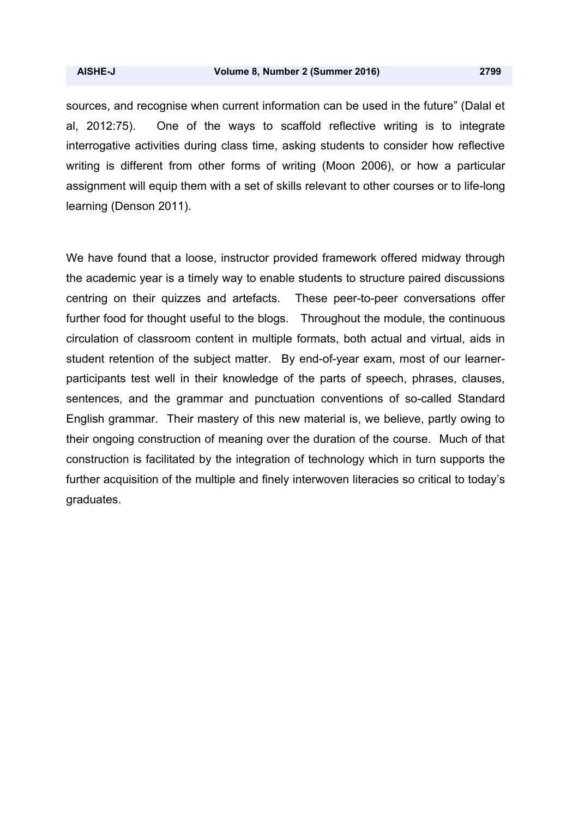sources, and recognise when current information can be used in the future" (Dalal et al, 2012:75). One of the ways to scaffold reflective writing is to integrate interrogative activities during class time, asking students to consider how reflective writing is different from other forms of writing (Moon 2006), or how a particular assignment will equip them with a set of skills relevant to other courses or to life-long learning (Denson 2011).

We have found that a loose, instructor provided framework offered midway through the academic year is a timely way to enable students to structure paired discussions centring on their quizzes and artefacts. These peer-to-peer conversations offer further food for thought useful to the blogs. Throughout the module, the continuous circulation of classroom content in multiple formats, both actual and virtual, aids in student retention of the subject matter. By end-of-year exam, most of our learnerparticipants test well in their knowledge of the parts of speech, phrases, clauses, sentences, and the grammar and punctuation conventions of so-called Standard English grammar. Their mastery of this new material is, we believe, partly owing to their ongoing construction of meaning over the duration of the course. Much of that construction is facilitated by the integration of technology which in turn supports the further acquisition of the multiple and finely interwoven literacies so critical to today's graduates.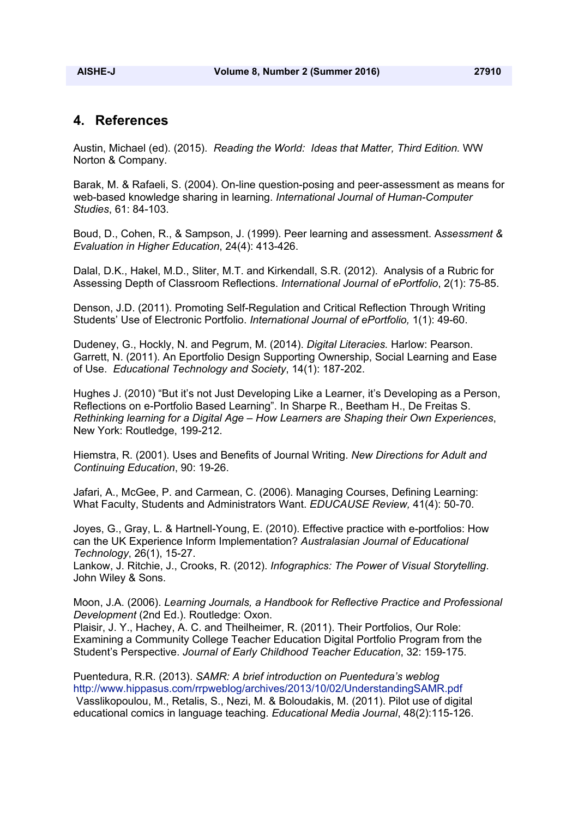#### **4. References**

Austin, Michael (ed). (2015). *Reading the World: Ideas that Matter, Third Edition.* WW Norton & Company.

Barak, M. & Rafaeli, S. (2004). On-line question-posing and peer-assessment as means for web-based knowledge sharing in learning. *International Journal of Human-Computer Studies*, 61: 84-103.

Boud, D., Cohen, R., & Sampson, J. (1999). Peer learning and assessment. A*ssessment & Evaluation in Higher Education*, 24(4): 413-426.

Dalal, D.K., Hakel, M.D., Sliter, M.T. and Kirkendall, S.R. (2012). Analysis of a Rubric for Assessing Depth of Classroom Reflections. *International Journal of ePortfolio*, 2(1): 75-85.

Denson, J.D. (2011). Promoting Self-Regulation and Critical Reflection Through Writing Students' Use of Electronic Portfolio. *International Journal of ePortfolio,* 1(1): 49-60.

Dudeney, G., Hockly, N. and Pegrum, M. (2014). *Digital Literacies.* Harlow: Pearson. Garrett, N. (2011). An Eportfolio Design Supporting Ownership, Social Learning and Ease of Use. *Educational Technology and Society*, 14(1): 187-202.

Hughes J. (2010) "But it's not Just Developing Like a Learner, it's Developing as a Person, Reflections on e-Portfolio Based Learning". In Sharpe R., Beetham H., De Freitas S. *Rethinking learning for a Digital Age – How Learners are Shaping their Own Experiences*, New York: Routledge, 199-212.

Hiemstra, R. (2001). Uses and Benefits of Journal Writing. *New Directions for Adult and Continuing Education*, 90: 19-26.

Jafari, A., McGee, P. and Carmean, C. (2006). Managing Courses, Defining Learning: What Faculty, Students and Administrators Want. *EDUCAUSE Review,* 41(4): 50-70.

Joyes, G., Gray, L. & Hartnell-Young, E. (2010). Effective practice with e-portfolios: How can the UK Experience Inform Implementation? *Australasian Journal of Educational Technology*, 26(1), 15-27.

Lankow, J. Ritchie, J., Crooks, R. (2012). *Infographics: The Power of Visual Storytelling*. John Wiley & Sons.

Moon, J.A. (2006). *Learning Journals, a Handbook for Reflective Practice and Professional Development* (2nd Ed.). Routledge: Oxon.

Plaisir, J. Y., Hachey, A. C. and Theilheimer, R. (2011). Their Portfolios, Our Role: Examining a Community College Teacher Education Digital Portfolio Program from the Student's Perspective. *Journal of Early Childhood Teacher Education*, 32: 159-175.

Puentedura, R.R. (2013). *SAMR: A brief introduction on Puentedura's weblog* http://www.hippasus.com/rrpweblog/archives/2013/10/02/UnderstandingSAMR.pdf Vasslikopoulou, M., Retalis, S., Nezi, M. & Boloudakis, M. (2011). Pilot use of digital educational comics in language teaching. *Educational Media Journal*, 48(2):115-126.